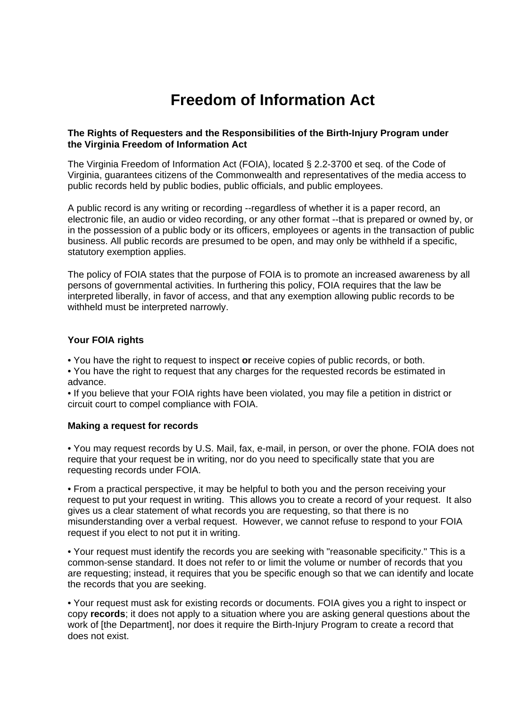# **Freedom of Information Act**

## **The Rights of Requesters and the Responsibilities of the Birth-Injury Program under the Virginia Freedom of Information Act**

The Virginia Freedom of Information Act (FOIA), located § 2.2-3700 et seq. of the Code of Virginia, guarantees citizens of the Commonwealth and representatives of the media access to public records held by public bodies, public officials, and public employees.

A public record is any writing or recording --regardless of whether it is a paper record, an electronic file, an audio or video recording, or any other format --that is prepared or owned by, or in the possession of a public body or its officers, employees or agents in the transaction of public business. All public records are presumed to be open, and may only be withheld if a specific, statutory exemption applies.

The policy of FOIA states that the purpose of FOIA is to promote an increased awareness by all persons of governmental activities. In furthering this policy, FOIA requires that the law be interpreted liberally, in favor of access, and that any exemption allowing public records to be withheld must be interpreted narrowly.

## **Your FOIA rights**

• You have the right to request to inspect **or** receive copies of public records, or both.

• You have the right to request that any charges for the requested records be estimated in advance.

• If you believe that your FOIA rights have been violated, you may file a petition in district or circuit court to compel compliance with FOIA.

## **Making a request for records**

• You may request records by U.S. Mail, fax, e-mail, in person, or over the phone. FOIA does not require that your request be in writing, nor do you need to specifically state that you are requesting records under FOIA.

• From a practical perspective, it may be helpful to both you and the person receiving your request to put your request in writing. This allows you to create a record of your request. It also gives us a clear statement of what records you are requesting, so that there is no misunderstanding over a verbal request. However, we cannot refuse to respond to your FOIA request if you elect to not put it in writing.

• Your request must identify the records you are seeking with "reasonable specificity." This is a common-sense standard. It does not refer to or limit the volume or number of records that you are requesting; instead, it requires that you be specific enough so that we can identify and locate the records that you are seeking.

• Your request must ask for existing records or documents. FOIA gives you a right to inspect or copy **records**; it does not apply to a situation where you are asking general questions about the work of [the Department], nor does it require the Birth-Injury Program to create a record that does not exist.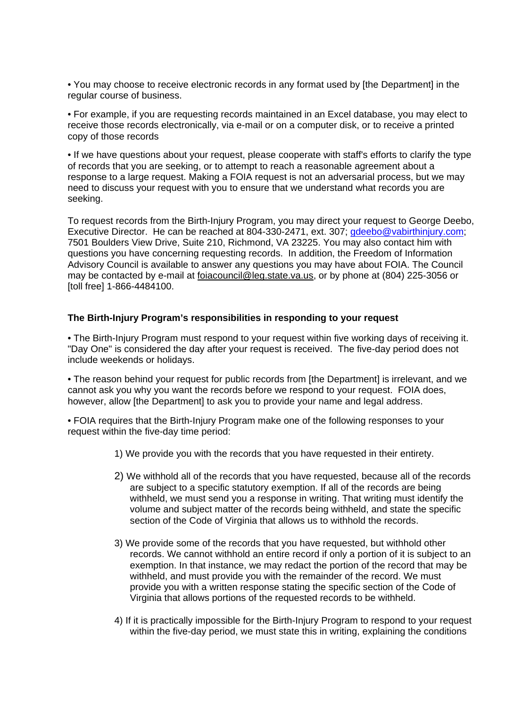• You may choose to receive electronic records in any format used by [the Department] in the regular course of business.

• For example, if you are requesting records maintained in an Excel database, you may elect to receive those records electronically, via e-mail or on a computer disk, or to receive a printed copy of those records

• If we have questions about your request, please cooperate with staff's efforts to clarify the type of records that you are seeking, or to attempt to reach a reasonable agreement about a response to a large request. Making a FOIA request is not an adversarial process, but we may need to discuss your request with you to ensure that we understand what records you are seeking.

To request records from the Birth-Injury Program, you may direct your request to George Deebo, Executive Director. He can be reached at 804-330-2471, ext. 307; [gdeebo@vabirthinjury.com;](mailto:gdeebo@vabirthinjury.com) 7501 Boulders View Drive, Suite 210, Richmond, VA 23225. You may also contact him with questions you have concerning requesting records. In addition, the Freedom of Information Advisory Council is available to answer any questions you may have about FOIA. The Council may be contacted by e-mail at [foiacouncil@leg.state.va.us](mailto:foiacouncil@leg.state.va.us), or by phone at (804) 225-3056 or [toll free] 1-866-4484100.

#### **The Birth-Injury Program's responsibilities in responding to your request**

• The Birth-Injury Program must respond to your request within five working days of receiving it. "Day One" is considered the day after your request is received. The five-day period does not include weekends or holidays.

• The reason behind your request for public records from [the Department] is irrelevant, and we cannot ask you why you want the records before we respond to your request. FOIA does, however, allow [the Department] to ask you to provide your name and legal address.

• FOIA requires that the Birth-Injury Program make one of the following responses to your request within the five-day time period:

- 1) We provide you with the records that you have requested in their entirety.
- 2) We withhold all of the records that you have requested, because all of the records are subject to a specific statutory exemption. If all of the records are being withheld, we must send you a response in writing. That writing must identify the volume and subject matter of the records being withheld, and state the specific section of the Code of Virginia that allows us to withhold the records.
- 3) We provide some of the records that you have requested, but withhold other records. We cannot withhold an entire record if only a portion of it is subject to an exemption. In that instance, we may redact the portion of the record that may be withheld, and must provide you with the remainder of the record. We must provide you with a written response stating the specific section of the Code of Virginia that allows portions of the requested records to be withheld.
- 4) If it is practically impossible for the Birth-Injury Program to respond to your request within the five-day period, we must state this in writing, explaining the conditions